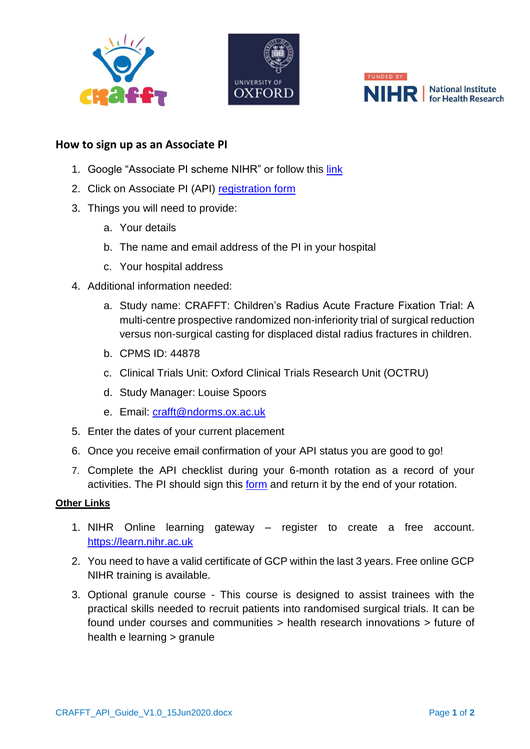





## **How to sign up as an Associate PI**

- 1. Google "Associate PI scheme NIHR" or follow this [link](https://www.nihr.ac.uk/documents/associate-principal-investigator-pi-scheme/25040)
- 2. Click on Associate PI (API) [registration form](https://docs.google.com/forms/d/e/1FAIpQLScv5XTwVbbRNXhru1jDU70u1bE8xw3UaHW2XCoYmQ4FIXgcvQ/viewform)
- 3. Things you will need to provide:
	- a. Your details
	- b. The name and email address of the PI in your hospital
	- c. Your hospital address
- 4. Additional information needed:
	- a. Study name: CRAFFT: Children's Radius Acute Fracture Fixation Trial: A multi-centre prospective randomized non-inferiority trial of surgical reduction versus non-surgical casting for displaced distal radius fractures in children.
	- b. CPMS ID: 44878
	- c. Clinical Trials Unit: Oxford Clinical Trials Research Unit (OCTRU)
	- d. Study Manager: Louise Spoors
	- e. Email: [crafft@ndorms.ox.ac.uk](mailto:crafft@ndorms.ox.ac.uk)
- 5. Enter the dates of your current placement
- 6. Once you receive email confirmation of your API status you are good to go!
- 7. Complete the API checklist during your 6-month rotation as a record of your activities. The PI should sign [this](https://docs.google.com/document/d/12GQC3qLWizrAJj4wWlZw5oc0UCYdhPvR86TcQIr0zBs/edit) [form](https://docs.google.com/document/d/12GQC3qLWizrAJj4wWlZw5oc0UCYdhPvR86TcQIr0zBs/edit) and return it by the end of your rotation.

## **Other Links**

- 1. NIHR Online learning gateway register to create a free account. [https://learn.nihr.ac.uk](https://learn.nihr.ac.uk/)
- 2. You need to have a valid certificate of GCP within the last 3 years. Free online GCP NIHR training is available.
- 3. Optional granule course This course is designed to assist trainees with the practical skills needed to recruit patients into randomised surgical trials. It can be found under courses and communities > health research innovations > future of health e learning > granule